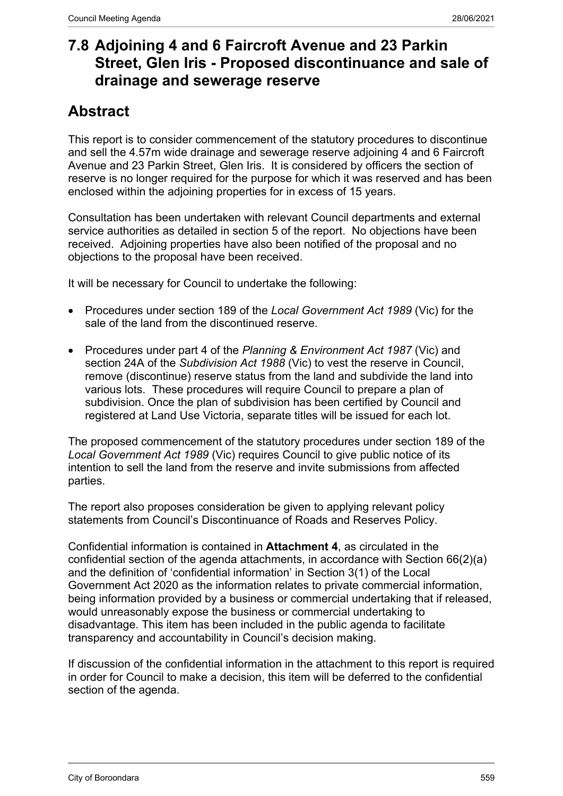## **7.8 Adjoining 4 and 6 Faircroft Avenue and 23 Parkin Street, Glen Iris - Proposed discontinuance and sale of drainage and sewerage reserve**

# **Abstract**

This report is to consider commencement of the statutory procedures to discontinue and sell the 4.57m wide drainage and sewerage reserve adjoining 4 and 6 Faircroft Avenue and 23 Parkin Street, Glen Iris. It is considered by officers the section of reserve is no longer required for the purpose for which it was reserved and has been enclosed within the adjoining properties for in excess of 15 years.

Consultation has been undertaken with relevant Council departments and external service authorities as detailed in section 5 of the report. No objections have been received. Adjoining properties have also been notified of the proposal and no objections to the proposal have been received.

It will be necessary for Council to undertake the following:

- Procedures under section 189 of the *Local Government Act 1989* (Vic) for the sale of the land from the discontinued reserve.
- Procedures under part 4 of the *Planning & Environment Act 1987* (Vic) and section 24A of the *Subdivision Act 1988* (Vic) to vest the reserve in Council, remove (discontinue) reserve status from the land and subdivide the land into various lots. These procedures will require Council to prepare a plan of subdivision. Once the plan of subdivision has been certified by Council and registered at Land Use Victoria, separate titles will be issued for each lot.

The proposed commencement of the statutory procedures under section 189 of the *Local Government Act 1989* (Vic) requires Council to give public notice of its intention to sell the land from the reserve and invite submissions from affected parties.

The report also proposes consideration be given to applying relevant policy statements from Council's Discontinuance of Roads and Reserves Policy.

Confidential information is contained in **Attachment 4**, as circulated in the confidential section of the agenda attachments, in accordance with Section 66(2)(a) and the definition of 'confidential information' in Section 3(1) of the Local Government Act 2020 as the information relates to private commercial information, being information provided by a business or commercial undertaking that if released, would unreasonably expose the business or commercial undertaking to disadvantage. This item has been included in the public agenda to facilitate transparency and accountability in Council's decision making.

If discussion of the confidential information in the attachment to this report is required in order for Council to make a decision, this item will be deferred to the confidential section of the agenda.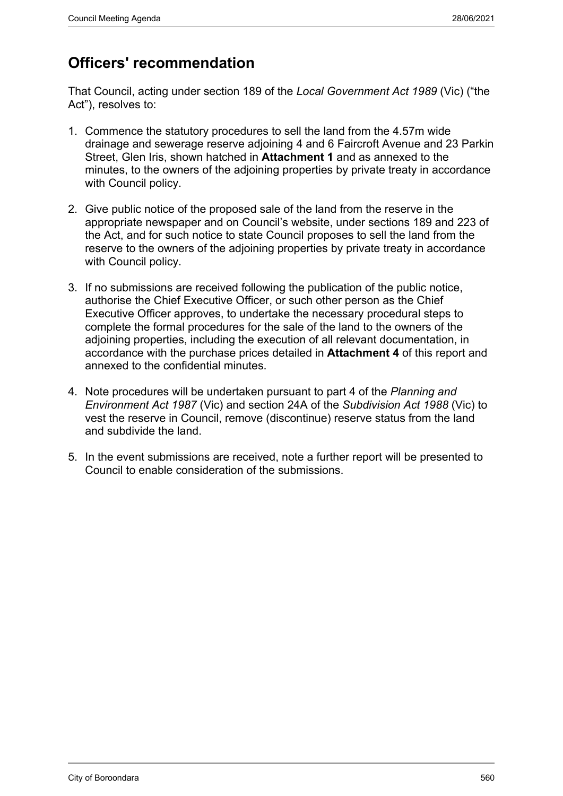## **Officers' recommendation**

That Council, acting under section 189 of the *Local Government Act 1989* (Vic) ("the Act"), resolves to:

- 1. Commence the statutory procedures to sell the land from the 4.57m wide drainage and sewerage reserve adjoining 4 and 6 Faircroft Avenue and 23 Parkin Street, Glen Iris, shown hatched in **Attachment 1** and as annexed to the minutes, to the owners of the adjoining properties by private treaty in accordance with Council policy.
- 2. Give public notice of the proposed sale of the land from the reserve in the appropriate newspaper and on Council's website, under sections 189 and 223 of the Act, and for such notice to state Council proposes to sell the land from the reserve to the owners of the adjoining properties by private treaty in accordance with Council policy.
- 3. If no submissions are received following the publication of the public notice, authorise the Chief Executive Officer, or such other person as the Chief Executive Officer approves, to undertake the necessary procedural steps to complete the formal procedures for the sale of the land to the owners of the adjoining properties, including the execution of all relevant documentation, in accordance with the purchase prices detailed in **Attachment 4** of this report and annexed to the confidential minutes.
- 4. Note procedures will be undertaken pursuant to part 4 of the *Planning and Environment Act 1987* (Vic) and section 24A of the *Subdivision Act 1988* (Vic) to vest the reserve in Council, remove (discontinue) reserve status from the land and subdivide the land.
- 5. In the event submissions are received, note a further report will be presented to Council to enable consideration of the submissions.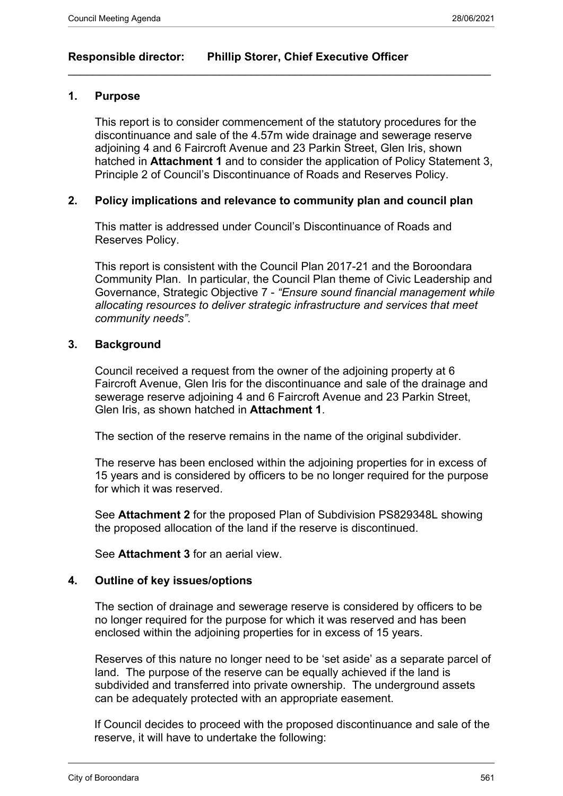## **Responsible director: Phillip Storer, Chief Executive Officer**

#### **1. Purpose**

This report is to consider commencement of the statutory procedures for the discontinuance and sale of the 4.57m wide drainage and sewerage reserve adjoining 4 and 6 Faircroft Avenue and 23 Parkin Street, Glen Iris, shown hatched in **Attachment 1** and to consider the application of Policy Statement 3, Principle 2 of Council's Discontinuance of Roads and Reserves Policy.

 $\_$  , and the set of the set of the set of the set of the set of the set of the set of the set of the set of the set of the set of the set of the set of the set of the set of the set of the set of the set of the set of th

#### **2. Policy implications and relevance to community plan and council plan**

This matter is addressed under Council's Discontinuance of Roads and Reserves Policy.

This report is consistent with the Council Plan 2017-21 and the Boroondara Community Plan. In particular, the Council Plan theme of Civic Leadership and Governance, Strategic Objective 7 - *"Ensure sound financial management while allocating resources to deliver strategic infrastructure and services that meet community needs"*.

#### **3. Background**

Council received a request from the owner of the adjoining property at 6 Faircroft Avenue, Glen Iris for the discontinuance and sale of the drainage and sewerage reserve adjoining 4 and 6 Faircroft Avenue and 23 Parkin Street, Glen Iris, as shown hatched in **Attachment 1**.

The section of the reserve remains in the name of the original subdivider.

The reserve has been enclosed within the adjoining properties for in excess of 15 years and is considered by officers to be no longer required for the purpose for which it was reserved.

See **Attachment 2** for the proposed Plan of Subdivision PS829348L showing the proposed allocation of the land if the reserve is discontinued.

See **Attachment 3** for an aerial view.

#### **4. Outline of key issues/options**

The section of drainage and sewerage reserve is considered by officers to be no longer required for the purpose for which it was reserved and has been enclosed within the adjoining properties for in excess of 15 years.

Reserves of this nature no longer need to be 'set aside' as a separate parcel of land. The purpose of the reserve can be equally achieved if the land is subdivided and transferred into private ownership. The underground assets can be adequately protected with an appropriate easement.

If Council decides to proceed with the proposed discontinuance and sale of the reserve, it will have to undertake the following: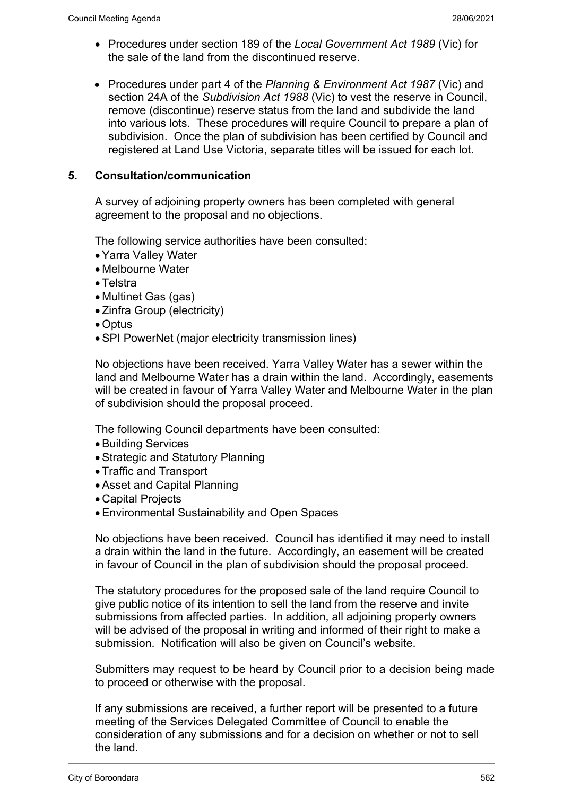- Procedures under section 189 of the *Local Government Act 1989* (Vic) for the sale of the land from the discontinued reserve.
- Procedures under part 4 of the *Planning & Environment Act 1987* (Vic) and section 24A of the *Subdivision Act 1988* (Vic) to vest the reserve in Council, remove (discontinue) reserve status from the land and subdivide the land into various lots. These procedures will require Council to prepare a plan of subdivision. Once the plan of subdivision has been certified by Council and registered at Land Use Victoria, separate titles will be issued for each lot.

### **5. Consultation/communication**

A survey of adjoining property owners has been completed with general agreement to the proposal and no objections.

The following service authorities have been consulted:

- Yarra Valley Water
- Melbourne Water
- Telstra
- Multinet Gas (gas)
- Zinfra Group (electricity)
- Optus
- SPI PowerNet (major electricity transmission lines)

No objections have been received. Yarra Valley Water has a sewer within the land and Melbourne Water has a drain within the land. Accordingly, easements will be created in favour of Yarra Valley Water and Melbourne Water in the plan of subdivision should the proposal proceed.

The following Council departments have been consulted:

- Building Services
- Strategic and Statutory Planning
- Traffic and Transport
- Asset and Capital Planning
- Capital Projects
- Environmental Sustainability and Open Spaces

No objections have been received. Council has identified it may need to install a drain within the land in the future. Accordingly, an easement will be created in favour of Council in the plan of subdivision should the proposal proceed.

The statutory procedures for the proposed sale of the land require Council to give public notice of its intention to sell the land from the reserve and invite submissions from affected parties. In addition, all adjoining property owners will be advised of the proposal in writing and informed of their right to make a submission. Notification will also be given on Council's website.

Submitters may request to be heard by Council prior to a decision being made to proceed or otherwise with the proposal.

If any submissions are received, a further report will be presented to a future meeting of the Services Delegated Committee of Council to enable the consideration of any submissions and for a decision on whether or not to sell the land.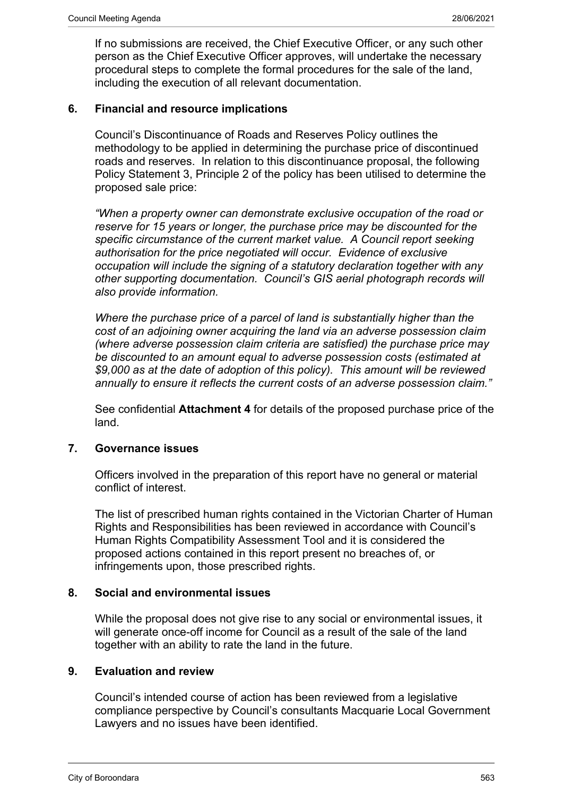If no submissions are received, the Chief Executive Officer, or any such other person as the Chief Executive Officer approves, will undertake the necessary procedural steps to complete the formal procedures for the sale of the land, including the execution of all relevant documentation.

### **6. Financial and resource implications**

Council's Discontinuance of Roads and Reserves Policy outlines the methodology to be applied in determining the purchase price of discontinued roads and reserves. In relation to this discontinuance proposal, the following Policy Statement 3, Principle 2 of the policy has been utilised to determine the proposed sale price:

*"When a property owner can demonstrate exclusive occupation of the road or reserve for 15 years or longer, the purchase price may be discounted for the specific circumstance of the current market value. A Council report seeking authorisation for the price negotiated will occur. Evidence of exclusive occupation will include the signing of a statutory declaration together with any other supporting documentation. Council's GIS aerial photograph records will also provide information.*

*Where the purchase price of a parcel of land is substantially higher than the cost of an adjoining owner acquiring the land via an adverse possession claim (where adverse possession claim criteria are satisfied) the purchase price may be discounted to an amount equal to adverse possession costs (estimated at \$9,000 as at the date of adoption of this policy). This amount will be reviewed annually to ensure it reflects the current costs of an adverse possession claim."*

See confidential **Attachment 4** for details of the proposed purchase price of the land.

#### **7. Governance issues**

Officers involved in the preparation of this report have no general or material conflict of interest.

The list of prescribed human rights contained in the Victorian Charter of Human Rights and Responsibilities has been reviewed in accordance with Council's Human Rights Compatibility Assessment Tool and it is considered the proposed actions contained in this report present no breaches of, or infringements upon, those prescribed rights.

#### **8. Social and environmental issues**

While the proposal does not give rise to any social or environmental issues, it will generate once-off income for Council as a result of the sale of the land together with an ability to rate the land in the future.

#### **9. Evaluation and review**

Council's intended course of action has been reviewed from a legislative compliance perspective by Council's consultants Macquarie Local Government Lawyers and no issues have been identified.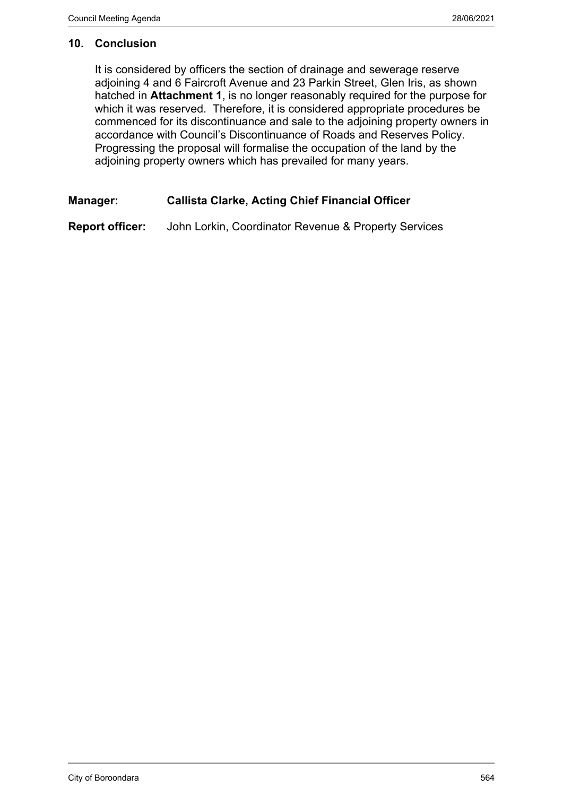#### **10. Conclusion**

It is considered by officers the section of drainage and sewerage reserve adjoining 4 and 6 Faircroft Avenue and 23 Parkin Street, Glen Iris, as shown hatched in **Attachment 1**, is no longer reasonably required for the purpose for which it was reserved. Therefore, it is considered appropriate procedures be commenced for its discontinuance and sale to the adjoining property owners in accordance with Council's Discontinuance of Roads and Reserves Policy. Progressing the proposal will formalise the occupation of the land by the adjoining property owners which has prevailed for many years.

## **Manager: Callista Clarke, Acting Chief Financial Officer**

**Report officer:** John Lorkin, Coordinator Revenue & Property Services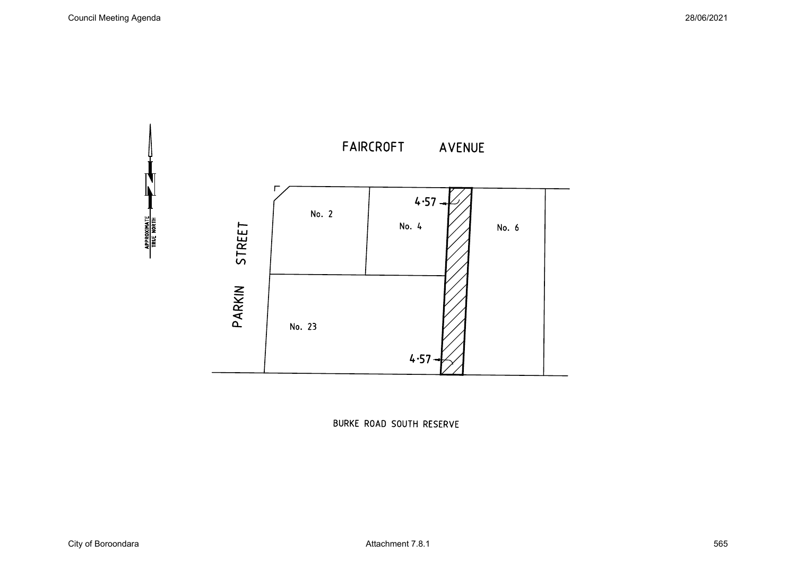

BURKE ROAD SOUTH RESERVE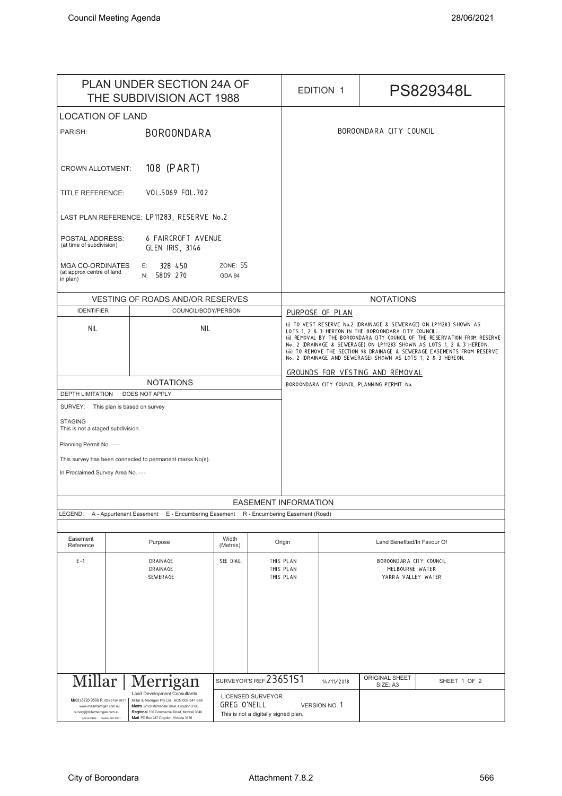| <b>PLAN UNDER SECTION 24A OF</b><br>THE SUBDIVISION ACT 1988                                                                            |                                                                                                                                                                                                                        |                   |                                                                  |                                                                                                                                                                                                                                                                                                                                                                                                                                 | <b>EDITION 1</b>                                                 |                             | PS829348L    |
|-----------------------------------------------------------------------------------------------------------------------------------------|------------------------------------------------------------------------------------------------------------------------------------------------------------------------------------------------------------------------|-------------------|------------------------------------------------------------------|---------------------------------------------------------------------------------------------------------------------------------------------------------------------------------------------------------------------------------------------------------------------------------------------------------------------------------------------------------------------------------------------------------------------------------|------------------------------------------------------------------|-----------------------------|--------------|
| <b>LOCATION OF LAND</b>                                                                                                                 |                                                                                                                                                                                                                        |                   |                                                                  |                                                                                                                                                                                                                                                                                                                                                                                                                                 |                                                                  |                             |              |
| PARISH:                                                                                                                                 | <b>BOROONDARA</b>                                                                                                                                                                                                      |                   |                                                                  | BOROONDARA CITY COUNCIL                                                                                                                                                                                                                                                                                                                                                                                                         |                                                                  |                             |              |
| 108 (PART)<br><b>CROWN ALLOTMENT:</b>                                                                                                   |                                                                                                                                                                                                                        |                   |                                                                  |                                                                                                                                                                                                                                                                                                                                                                                                                                 |                                                                  |                             |              |
| VOL.5069 FOL.702<br><b>TITLE REFERENCE:</b>                                                                                             |                                                                                                                                                                                                                        |                   |                                                                  |                                                                                                                                                                                                                                                                                                                                                                                                                                 |                                                                  |                             |              |
| LAST PLAN REFERENCE: LP11283, RESERVE No.2                                                                                              |                                                                                                                                                                                                                        |                   |                                                                  |                                                                                                                                                                                                                                                                                                                                                                                                                                 |                                                                  |                             |              |
| 6 FAIRCROFT AVENUE<br>POSTAL ADDRESS:<br>(at time of subdivision)<br>GLEN IRIS, 3146                                                    |                                                                                                                                                                                                                        |                   |                                                                  |                                                                                                                                                                                                                                                                                                                                                                                                                                 |                                                                  |                             |              |
| <b>MGA CO-ORDINATES</b><br>328 450<br><b>ZONE: 55</b><br>Е:<br>(at approx centre of land<br>5809 270<br>N:<br><b>GDA 94</b><br>in plan) |                                                                                                                                                                                                                        |                   |                                                                  |                                                                                                                                                                                                                                                                                                                                                                                                                                 |                                                                  |                             |              |
| <b>VESTING OF ROADS AND/OR RESERVES</b>                                                                                                 |                                                                                                                                                                                                                        |                   |                                                                  | <b>NOTATIONS</b>                                                                                                                                                                                                                                                                                                                                                                                                                |                                                                  |                             |              |
| <b>IDENTIFIER</b>                                                                                                                       | COUNCIL/BODY/PERSON                                                                                                                                                                                                    |                   |                                                                  | PURPOSE OF PLAN                                                                                                                                                                                                                                                                                                                                                                                                                 |                                                                  |                             |              |
| <b>NIL</b>                                                                                                                              | <b>NIL</b>                                                                                                                                                                                                             |                   |                                                                  | (i) TO VEST RESERVE No.2 (DRAINAGE & SEWERAGE) ON LP11283 SHOWN AS<br>LOTS 1, 2 & 3 HEREON IN THE BOROONDARA CITY COUNCIL.<br>(ii) REMOVAL BY THE BOROONDARA CITY COUNCIL OF THE RESERVATION FROM RESERVE<br>No. 2 (DRAINAGE & SEWERAGE) ON LP11283 SHOWN AS LOTS 1, 2 & 3 HEREON.<br>(iii) TO REMOVE THE SECTION 98 DRAINAGE & SEWERAGE EASEMENTS FROM RESERVE<br>No. 2 (DRAINAGE AND SEWERAGE) SHOWN AS LOTS 1, 2 & 3 HEREON. |                                                                  |                             |              |
|                                                                                                                                         |                                                                                                                                                                                                                        |                   |                                                                  | GROUNDS FOR VESTING AND REMOVAL                                                                                                                                                                                                                                                                                                                                                                                                 |                                                                  |                             |              |
| <b>NOTATIONS</b>                                                                                                                        |                                                                                                                                                                                                                        |                   |                                                                  | BOROONDARA CITY COUNCIL PLANNING PERMIT No.                                                                                                                                                                                                                                                                                                                                                                                     |                                                                  |                             |              |
| <b>DEPTH LIMITATION</b><br>DOES NOT APPLY                                                                                               |                                                                                                                                                                                                                        |                   |                                                                  |                                                                                                                                                                                                                                                                                                                                                                                                                                 |                                                                  |                             |              |
| SURVEY: This plan is based on survey                                                                                                    |                                                                                                                                                                                                                        |                   |                                                                  |                                                                                                                                                                                                                                                                                                                                                                                                                                 |                                                                  |                             |              |
| <b>STAGING</b><br>This is not a staged subdivision.                                                                                     |                                                                                                                                                                                                                        |                   |                                                                  |                                                                                                                                                                                                                                                                                                                                                                                                                                 |                                                                  |                             |              |
| Planning Permit No. ---                                                                                                                 |                                                                                                                                                                                                                        |                   |                                                                  |                                                                                                                                                                                                                                                                                                                                                                                                                                 |                                                                  |                             |              |
| This survey has been connected to permanent marks No(s).                                                                                |                                                                                                                                                                                                                        |                   |                                                                  |                                                                                                                                                                                                                                                                                                                                                                                                                                 |                                                                  |                             |              |
| In Proclaimed Survey Area No. ---                                                                                                       |                                                                                                                                                                                                                        |                   |                                                                  |                                                                                                                                                                                                                                                                                                                                                                                                                                 |                                                                  |                             |              |
|                                                                                                                                         |                                                                                                                                                                                                                        |                   |                                                                  |                                                                                                                                                                                                                                                                                                                                                                                                                                 |                                                                  |                             |              |
| <b>EASEMENT INFORMATION</b><br>LEGEND:<br>A - Appurtenant Easement<br>E - Encumbering Easement<br>R - Encumbering Easement (Road)       |                                                                                                                                                                                                                        |                   |                                                                  |                                                                                                                                                                                                                                                                                                                                                                                                                                 |                                                                  |                             |              |
|                                                                                                                                         |                                                                                                                                                                                                                        |                   |                                                                  |                                                                                                                                                                                                                                                                                                                                                                                                                                 |                                                                  |                             |              |
| Easement<br>Reference                                                                                                                   | Purpose                                                                                                                                                                                                                | Width<br>(Metres) |                                                                  | Origin                                                                                                                                                                                                                                                                                                                                                                                                                          |                                                                  | Land Benefited/In Favour Of |              |
| $E-1$                                                                                                                                   | DRAINAGE<br>SEE DIAG.<br>DRAINAGE<br>SEWERAGE                                                                                                                                                                          |                   | THIS PLAN<br>THIS PLAN<br>THIS PLAN                              |                                                                                                                                                                                                                                                                                                                                                                                                                                 | BOROONDARA CITY COUNCIL<br>MELBOURNE WATER<br>YARRA VALLEY WATER |                             |              |
|                                                                                                                                         | Millar   Merrigan                                                                                                                                                                                                      |                   | SURVEYOR'S REF: 23651S1                                          |                                                                                                                                                                                                                                                                                                                                                                                                                                 | 14/11/2018                                                       | ORIGINAL SHEET<br>SIZE: A3  | SHEET 1 OF 2 |
| M(03) 8720 9500 R (03) 5134 8611<br>www.millarmerrigan.com.au<br>survey@millarmerrigan.com.au<br>SAI GLOBAL Quality ISO 9001            | <b>Land Development Consultants</b><br>Millar & Merrigan Pty Ltd ACN 005 541 668<br>Metro 2/126 Merrindale Drive, Croydon 3136<br>Regional 156 Commercial Road, Morwell 3840<br>Mail PO Box 247 Croydon, Victoria 3136 | GREG O'NEILL      | <b>LICENSED SURVEYOR</b><br>This is not a digitally signed plan. |                                                                                                                                                                                                                                                                                                                                                                                                                                 | <b>VERSION NO. 1</b>                                             |                             |              |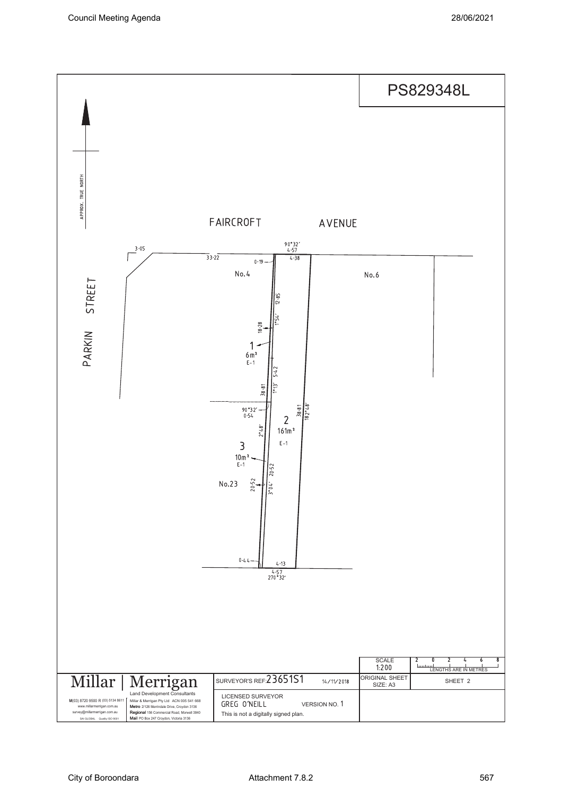